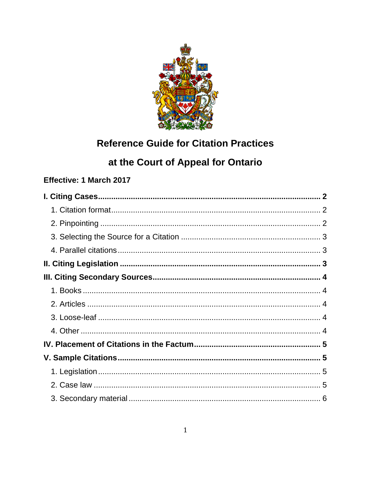

# **Reference Guide for Citation Practices**

# at the Court of Appeal for Ontario

# Effective: 1 March 2017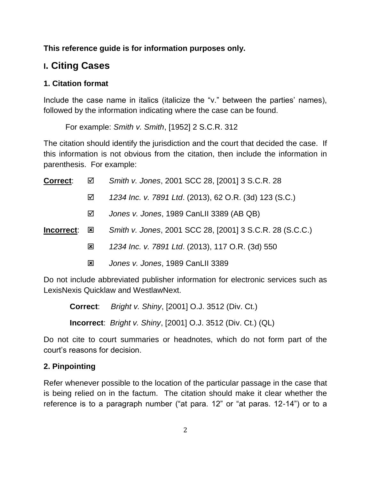**This reference guide is for information purposes only.**

# <span id="page-1-0"></span>**I. Citing Cases**

# <span id="page-1-1"></span>**1. Citation format**

Include the case name in italics (italicize the "v." between the parties' names), followed by the information indicating where the case can be found.

For example: *Smith v. Smith*, [1952] 2 S.C.R. 312

The citation should identify the jurisdiction and the court that decided the case. If this information is not obvious from the citation, then include the information in parenthesis. For example:

| <b>Correct:</b> | ☑            | Smith v. Jones, 2001 SCC 28, [2001] 3 S.C.R. 28          |
|-----------------|--------------|----------------------------------------------------------|
|                 | ☑            | 1234 Inc. v. 7891 Ltd. (2013), 62 O.R. (3d) 123 (S.C.)   |
|                 | ☑            | Jones v. Jones, 1989 CanLII 3389 (AB QB)                 |
| Incorrect:      | $\mathbf{x}$ | Smith v. Jones, 2001 SCC 28, [2001] 3 S.C.R. 28 (S.C.C.) |
|                 | 図            | 1234 Inc. v. 7891 Ltd. (2013), 117 O.R. (3d) 550         |
|                 | ⊠            | Jones v. Jones, 1989 CanLII 3389                         |

Do not include abbreviated publisher information for electronic services such as LexisNexis Quicklaw and WestlawNext.

**Correct**: *Bright v. Shiny*, [2001] O.J. 3512 (Div. Ct.)

**Incorrect**: *Bright v. Shiny*, [2001] O.J. 3512 (Div. Ct.) (QL)

Do not cite to court summaries or headnotes, which do not form part of the court's reasons for decision.

# <span id="page-1-2"></span>**2. Pinpointing**

Refer whenever possible to the location of the particular passage in the case that is being relied on in the factum. The citation should make it clear whether the reference is to a paragraph number ("at para. 12" or "at paras. 12-14") or to a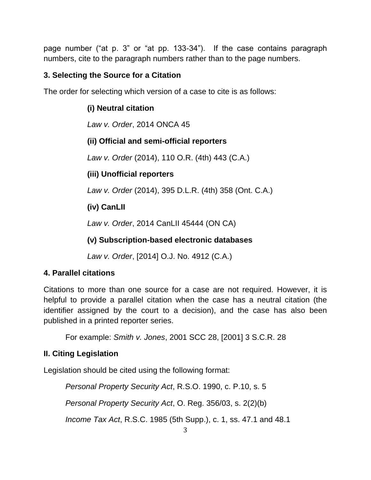page number ("at p. 3" or "at pp. 133-34"). If the case contains paragraph numbers, cite to the paragraph numbers rather than to the page numbers.

# <span id="page-2-0"></span>**3. Selecting the Source for a Citation**

The order for selecting which version of a case to cite is as follows:

## **(i) Neutral citation**

*Law v. Order*, 2014 ONCA 45

## **(ii) Official and semi-official reporters**

*Law v. Order* (2014), 110 O.R. (4th) 443 (C.A.)

## **(iii) Unofficial reporters**

*Law v. Order* (2014), 395 D.L.R. (4th) 358 (Ont. C.A.)

## **(iv) CanLII**

*Law v. Order*, 2014 CanLII 45444 (ON CA)

# **(v) Subscription-based electronic databases**

*Law v. Order*, [2014] O.J. No. 4912 (C.A.)

## <span id="page-2-1"></span>**4. Parallel citations**

Citations to more than one source for a case are not required. However, it is helpful to provide a parallel citation when the case has a neutral citation (the identifier assigned by the court to a decision), and the case has also been published in a printed reporter series.

For example: *Smith v. Jones*, 2001 SCC 28, [2001] 3 S.C.R. 28

## <span id="page-2-2"></span>**II. Citing Legislation**

Legislation should be cited using the following format:

*Personal Property Security Act*, R.S.O. 1990, c. P.10, s. 5 *Personal Property Security Act*, O. Reg. 356/03, s. 2(2)(b) *Income Tax Act*, R.S.C. 1985 (5th Supp.), c. 1, ss. 47.1 and 48.1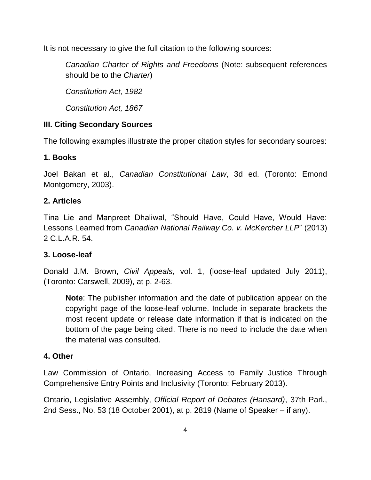It is not necessary to give the full citation to the following sources:

*Canadian Charter of Rights and Freedoms* (Note: subsequent references should be to the *Charter*)

*Constitution Act, 1982* 

*Constitution Act, 1867* 

# <span id="page-3-0"></span>**III. Citing Secondary Sources**

The following examples illustrate the proper citation styles for secondary sources:

# <span id="page-3-1"></span>**1. Books**

Joel Bakan et al., *Canadian Constitutional Law*, 3d ed. (Toronto: Emond Montgomery, 2003).

# <span id="page-3-2"></span>**2. Articles**

Tina Lie and Manpreet Dhaliwal, "Should Have, Could Have, Would Have: Lessons Learned from *Canadian National Railway Co. v. McKercher LLP*" (2013) 2 C.L.A.R. 54.

## <span id="page-3-3"></span>**3. Loose-leaf**

Donald J.M. Brown, *Civil Appeals*, vol. 1, (loose-leaf updated July 2011), (Toronto: Carswell, 2009), at p. 2-63.

**Note**: The publisher information and the date of publication appear on the copyright page of the loose-leaf volume. Include in separate brackets the most recent update or release date information if that is indicated on the bottom of the page being cited. There is no need to include the date when the material was consulted.

## <span id="page-3-4"></span>**4. Other**

Law Commission of Ontario, Increasing Access to Family Justice Through Comprehensive Entry Points and Inclusivity (Toronto: February 2013).

Ontario, Legislative Assembly, *Official Report of Debates (Hansard)*, 37th Parl., 2nd Sess., No. 53 (18 October 2001), at p. 2819 (Name of Speaker – if any).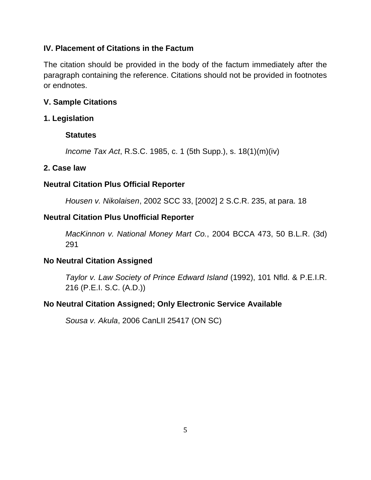#### <span id="page-4-0"></span>**IV. Placement of Citations in the Factum**

The citation should be provided in the body of the factum immediately after the paragraph containing the reference. Citations should not be provided in footnotes or endnotes.

#### <span id="page-4-1"></span>**V. Sample Citations**

#### <span id="page-4-2"></span>**1. Legislation**

#### **Statutes**

*Income Tax Act*, R.S.C. 1985, c. 1 (5th Supp.), s. 18(1)(m)(iv)

#### <span id="page-4-3"></span>**2. Case law**

## **Neutral Citation Plus Official Reporter**

*Housen v. Nikolaisen*, 2002 SCC 33, [2002] 2 S.C.R. 235, at para. 18

#### **Neutral Citation Plus Unofficial Reporter**

*MacKinnon v. National Money Mart Co.*, 2004 BCCA 473, 50 B.L.R. (3d) 291

## **No Neutral Citation Assigned**

*Taylor v. Law Society of Prince Edward Island* (1992), 101 Nfld. & P.E.I.R. 216 (P.E.I. S.C. (A.D.))

## **No Neutral Citation Assigned; Only Electronic Service Available**

<span id="page-4-4"></span>*Sousa v. Akula*, 2006 CanLII 25417 (ON SC)